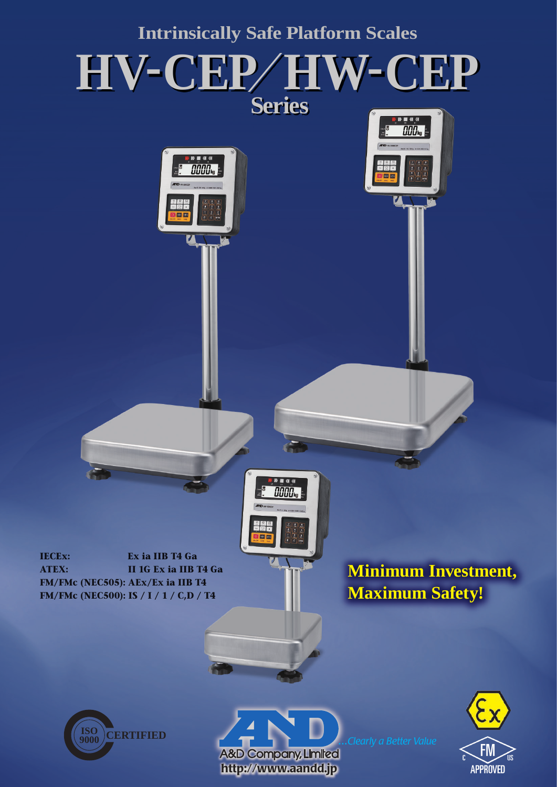





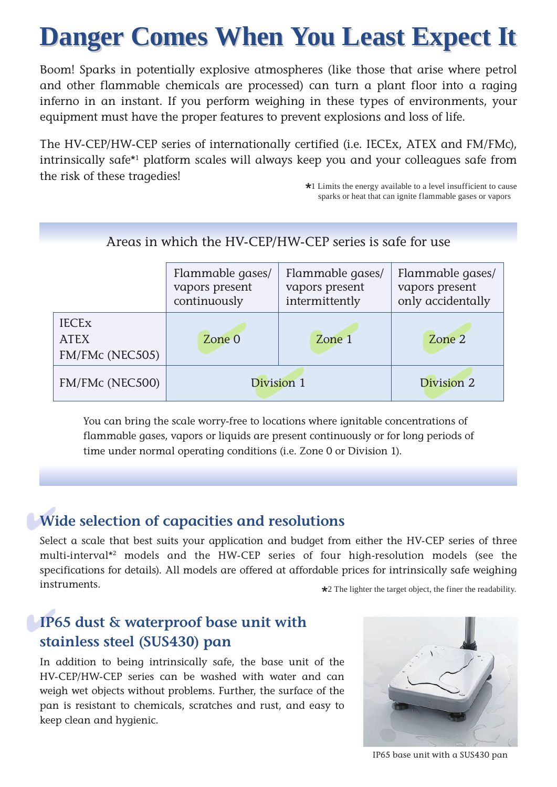# **Danger Comes When You Least Expect It Danger Comes When You Least Expect It**

Boom! Sparks in potentially explosive atmospheres (like those that arise where petrol and other flammable chemicals are processed) can turn a plant floor into a raging inferno in an instant. If you perform weighing in these types of environments, your equipment must have the proper features to prevent explosions and loss of life.

The HV-CEP/HW-CEP series of internationally certified (i.e. IECEx, ATEX and FM/FMc), intrinsically safe\*1 platform scales will always keep you and your colleagues safe from the risk of these tragedies!

\*1 Limits the energy available to a level insufficient to cause sparks or heat that can ignite flammable gases or vapors

## Areas in which the HV-CEP/HW-CEP series is safe for use

|                                                | Flammable gases/<br>vapors present<br>continuously | Flammable gases/<br>vapors present<br>intermittently | Flammable gases/<br>vapors present<br>only accidentally |  |
|------------------------------------------------|----------------------------------------------------|------------------------------------------------------|---------------------------------------------------------|--|
| <b>IECEX</b><br><b>ATEX</b><br>FM/FMc (NEC505) | Zone 0                                             | Zone 1                                               | Zone 2                                                  |  |
| FM/FMc (NEC500)                                | Division 1                                         | Division 2                                           |                                                         |  |

You can bring the scale worry-free to locations where ignitable concentrations of flammable gases, vapors or liquids are present continuously or for long periods of time under normal operating conditions (i.e. Zone 0 or Division 1).

# ✔ **Wide selection of capacities and resolutions**

Select a scale that best suits your application and budget from either the HV-CEP series of three multi-interval\*2 models and the HW-CEP series of four high-resolution models (see the specifications for details). All models are offered at affordable prices for intrinsically safe weighing instruments.  $\star$ 2 The lighter the target object, the finer the readability.

# ✔ **IP65 dust & waterproof base unit with stainless steel (SUS430) pan**

In addition to being intrinsically safe, the base unit of the HV-CEP/HW-CEP series can be washed with water and can weigh wet objects without problems. Further, the surface of the pan is resistant to chemicals, scratches and rust, and easy to keep clean and hygienic.



IP65 base unit with a SUS430 pan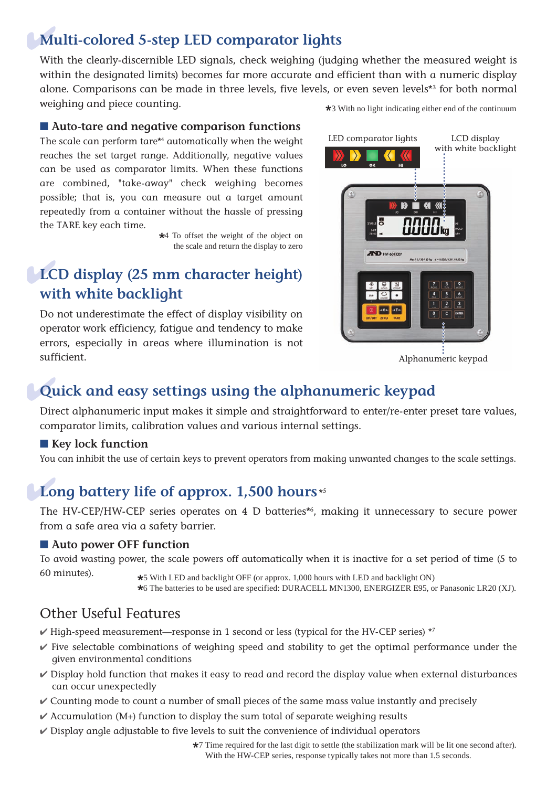## ✔**Multi-colored 5-step LED comparator lights**

With the clearly-discernible LED signals, check weighing (judging whether the measured weight is within the designated limits) becomes far more accurate and efficient than with a numeric display alone. Comparisons can be made in three levels, five levels, or even seven levels\*3 for both normal weighing and piece counting.  $\star$ 3 With no light indicating either end of the continuum

### ■ **Auto-tare and negative comparison functions**

The scale can perform tare\*4 automatically when the weight reaches the set target range. Additionally, negative values can be used as comparator limits. When these functions are combined, "take-away" check weighing becomes possible; that is, you can measure out a target amount repeatedly from a container without the hassle of pressing the TARE key each time.

> \*4 To offset the weight of the object on the scale and return the display to zero

# ✔ **LCD display (25 mm character height) with white backlight**

Do not underestimate the effect of display visibility on operator work efficiency, fatigue and tendency to make errors, especially in areas where illumination is not sufficient.



# ✔ **Quick and easy settings using the alphanumeric keypad**

Direct alphanumeric input makes it simple and straightforward to enter/re-enter preset tare values, comparator limits, calibration values and various internal settings.

### ■ Key lock function

You can inhibit the use of certain keys to prevent operators from making unwanted changes to the scale settings.

# Long battery life of approx. 1,500 hours<sup>\*5</sup>

The HV-CEP/HW-CEP series operates on 4 D batteries\*6 , making it unnecessary to secure power from a safe area via a safety barrier.

### ■ Auto power OFF function

To avoid wasting power, the scale powers off automatically when it is inactive for a set period of time (5 to

60 minutes). \*5 With LED and backlight OFF (or approx. 1,000 hours with LED and backlight ON) \*6 The batteries to be used are specified: DURACELL MN1300, ENERGIZER E95, or Panasonic LR20 (XJ).

## Other Useful Features

- $V$  High-speed measurement—response in 1 second or less (typical for the HV-CEP series)  $*7$
- $\checkmark$  Five selectable combinations of weighing speed and stability to get the optimal performance under the given environmental conditions
- $\checkmark$  Display hold function that makes it easy to read and record the display value when external disturbances can occur unexpectedly
- $\checkmark$  Counting mode to count a number of small pieces of the same mass value instantly and precisely
- $\checkmark$  Accumulation (M+) function to display the sum total of separate weighing results
- $\checkmark$  Display angle adjustable to five levels to suit the convenience of individual operators

\*7 Time required for the last digit to settle (the stabilization mark will be lit one second after). With the HW-CEP series, response typically takes not more than 1.5 seconds.